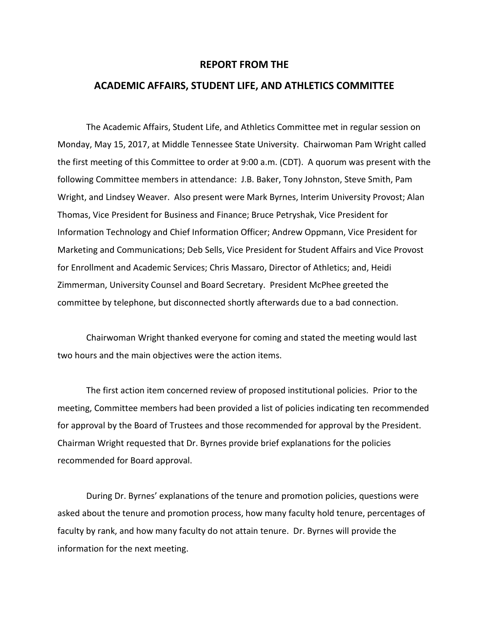## **REPORT FROM THE**

## **ACADEMIC AFFAIRS, STUDENT LIFE, AND ATHLETICS COMMITTEE**

The Academic Affairs, Student Life, and Athletics Committee met in regular session on Monday, May 15, 2017, at Middle Tennessee State University. Chairwoman Pam Wright called the first meeting of this Committee to order at 9:00 a.m. (CDT). A quorum was present with the following Committee members in attendance: J.B. Baker, Tony Johnston, Steve Smith, Pam Wright, and Lindsey Weaver. Also present were Mark Byrnes, Interim University Provost; Alan Thomas, Vice President for Business and Finance; Bruce Petryshak, Vice President for Information Technology and Chief Information Officer; Andrew Oppmann, Vice President for Marketing and Communications; Deb Sells, Vice President for Student Affairs and Vice Provost for Enrollment and Academic Services; Chris Massaro, Director of Athletics; and, Heidi Zimmerman, University Counsel and Board Secretary. President McPhee greeted the committee by telephone, but disconnected shortly afterwards due to a bad connection.

Chairwoman Wright thanked everyone for coming and stated the meeting would last two hours and the main objectives were the action items.

The first action item concerned review of proposed institutional policies. Prior to the meeting, Committee members had been provided a list of policies indicating ten recommended for approval by the Board of Trustees and those recommended for approval by the President. Chairman Wright requested that Dr. Byrnes provide brief explanations for the policies recommended for Board approval.

During Dr. Byrnes' explanations of the tenure and promotion policies, questions were asked about the tenure and promotion process, how many faculty hold tenure, percentages of faculty by rank, and how many faculty do not attain tenure. Dr. Byrnes will provide the information for the next meeting.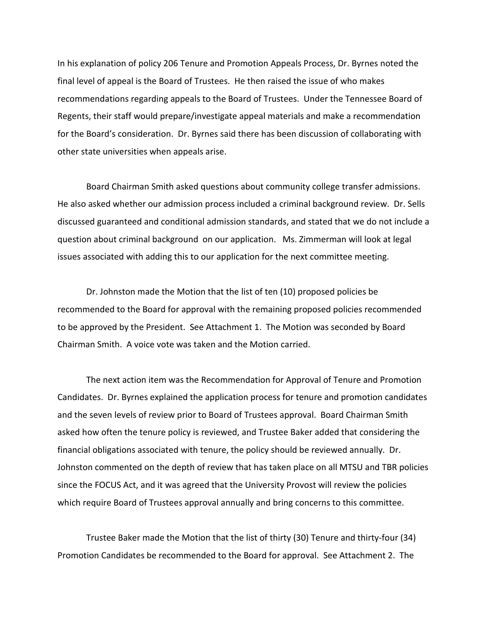In his explanation of policy 206 Tenure and Promotion Appeals Process, Dr. Byrnes noted the final level of appeal is the Board of Trustees. He then raised the issue of who makes recommendations regarding appeals to the Board of Trustees. Under the Tennessee Board of Regents, their staff would prepare/investigate appeal materials and make a recommendation for the Board's consideration. Dr. Byrnes said there has been discussion of collaborating with other state universities when appeals arise.

Board Chairman Smith asked questions about community college transfer admissions. He also asked whether our admission process included a criminal background review. Dr. Sells discussed guaranteed and conditional admission standards, and stated that we do not include a question about criminal background on our application. Ms. Zimmerman will look at legal issues associated with adding this to our application for the next committee meeting.

Dr. Johnston made the Motion that the list of ten (10) proposed policies be recommended to the Board for approval with the remaining proposed policies recommended to be approved by the President. See Attachment 1. The Motion was seconded by Board Chairman Smith. A voice vote was taken and the Motion carried.

The next action item was the Recommendation for Approval of Tenure and Promotion Candidates. Dr. Byrnes explained the application process for tenure and promotion candidates and the seven levels of review prior to Board of Trustees approval. Board Chairman Smith asked how often the tenure policy is reviewed, and Trustee Baker added that considering the financial obligations associated with tenure, the policy should be reviewed annually. Dr. Johnston commented on the depth of review that has taken place on all MTSU and TBR policies since the FOCUS Act, and it was agreed that the University Provost will review the policies which require Board of Trustees approval annually and bring concerns to this committee.

Trustee Baker made the Motion that the list of thirty (30) Tenure and thirty-four (34) Promotion Candidates be recommended to the Board for approval. See Attachment 2. The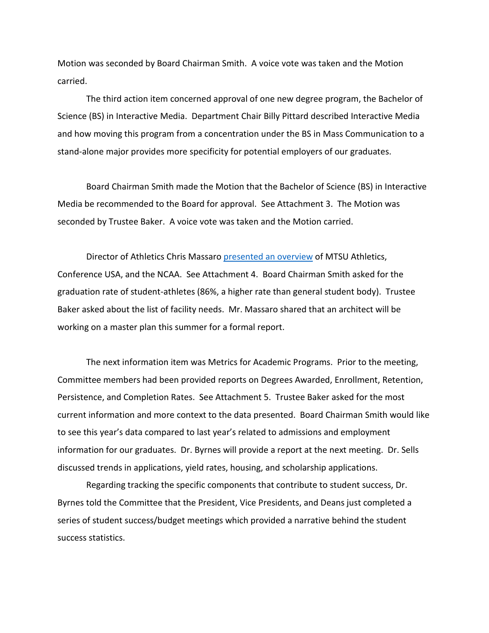Motion was seconded by Board Chairman Smith. A voice vote was taken and the Motion carried.

The third action item concerned approval of one new degree program, the Bachelor of Science (BS) in Interactive Media. Department Chair Billy Pittard described Interactive Media and how moving this program from a concentration under the BS in Mass Communication to a stand-alone major provides more specificity for potential employers of our graduates.

Board Chairman Smith made the Motion that the Bachelor of Science (BS) in Interactive Media be recommended to the Board for approval. See Attachment 3. The Motion was seconded by Trustee Baker. A voice vote was taken and the Motion carried.

Director of Athletics Chris Massaro [presented an overview](http://www.mtsu.edu/boardoftrustees/meetings/docs/aa-2017-may-15/aa-2017-may-15-athletic-presentation.pdf) of MTSU Athletics, Conference USA, and the NCAA. See Attachment 4. Board Chairman Smith asked for the graduation rate of student-athletes (86%, a higher rate than general student body). Trustee Baker asked about the list of facility needs. Mr. Massaro shared that an architect will be working on a master plan this summer for a formal report.

The next information item was Metrics for Academic Programs. Prior to the meeting, Committee members had been provided reports on Degrees Awarded, Enrollment, Retention, Persistence, and Completion Rates. See Attachment 5. Trustee Baker asked for the most current information and more context to the data presented. Board Chairman Smith would like to see this year's data compared to last year's related to admissions and employment information for our graduates. Dr. Byrnes will provide a report at the next meeting. Dr. Sells discussed trends in applications, yield rates, housing, and scholarship applications.

Regarding tracking the specific components that contribute to student success, Dr. Byrnes told the Committee that the President, Vice Presidents, and Deans just completed a series of student success/budget meetings which provided a narrative behind the student success statistics.